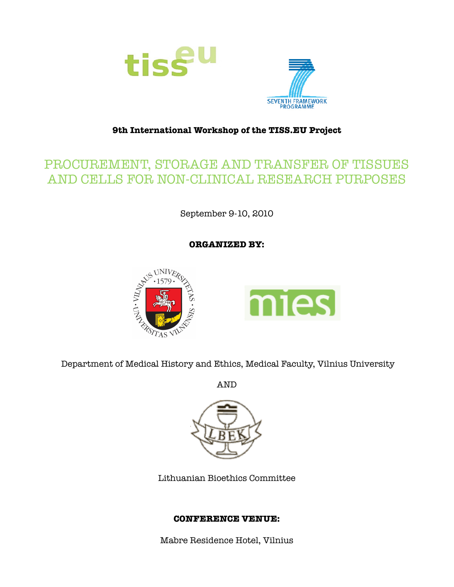



## **9th International Workshop of the TISS.EU Project**

# PROCUREMENT, STORAGE AND TRANSFER OF TISSUES AND CELLS FOR NON-CLINICAL RESEARCH PURPOSES

September 9-10, 2010

# **ORGANIZED BY:**



Department of Medical History and Ethics, Medical Faculty, Vilnius University

AND



Lithuanian Bioethics Committee

## **CONFERENCE VENUE:**

Mabre Residence Hotel, Vilnius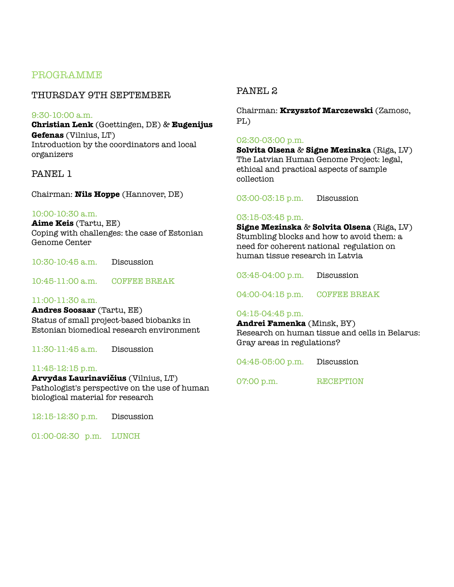# PROGRAMME

## THURSDAY 9TH SEPTEMBER

#### 9:30-10:00 a.m.

**Christian Lenk** (Goettingen, DE) & **Eugenijus Gefenas** (Vilnius, LT) Introduction by the coordinators and local organizers

## PANEL 1

Chairman: **Nils Hoppe** (Hannover, DE)

#### 10:00-10:30 a.m.

**Aime Keis** (Tartu, EE) Coping with challenges: the case of Estonian Genome Center

10:30-10:45 a.m. Discussion

10:45-11:00 a.m. COFFEE BREAK

#### 11:00-11:30 a.m.

**Andres Soosaar** (Tartu, EE) Status of small project-based biobanks in Estonian biomedical research environment

11:30-11:45 a.m. Discussion

#### 11:45-12:15 p.m.

**Arvydas Laurinavičius** (Vilnius, LT) Pathologist's perspective on the use of human biological material for research

12:15-12:30 p.m. Discussion

01:00-02:30 p.m. LUNCH

## PANEL<sub>2</sub>

Chairman: **Krzysztof Marczewski** (Zamosc, PL)

#### 02:30-03:00 p.m.

**Solvita Olsena** & **Signe Mezinska** (Riga, LV) The Latvian Human Genome Project: legal, ethical and practical aspects of sample collection

03:00-03:15 p.m. Discussion

#### 03:15-03:45 p.m.

**Signe Mezinska** & **Solvita Olsena** (Riga, LV) Stumbling blocks and how to avoid them: a need for coherent national regulation on human tissue research in Latvia

03:45-04:00 p.m. Discussion

04:00-04:15 p.m. COFFEE BREAK

#### 04:15-04:45 p.m.

**Andrei Famenka** (Minsk, BY) Research on human tissue and cells in Belarus: Gray areas in regulations?

04:45-05:00 p.m. Discussion

07:00 p.m. RECEPTION